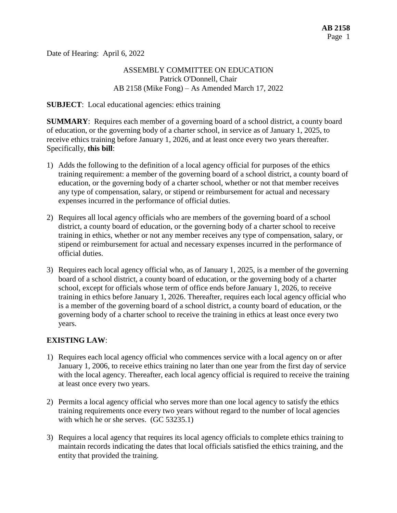Date of Hearing: April 6, 2022

# ASSEMBLY COMMITTEE ON EDUCATION Patrick O'Donnell, Chair AB 2158 (Mike Fong) – As Amended March 17, 2022

### **SUBJECT**: Local educational agencies: ethics training

**SUMMARY**: Requires each member of a governing board of a school district, a county board of education, or the governing body of a charter school, in service as of January 1, 2025, to receive ethics training before January 1, 2026, and at least once every two years thereafter. Specifically, **this bill**:

- 1) Adds the following to the definition of a local agency official for purposes of the ethics training requirement: a member of the governing board of a school district, a county board of education, or the governing body of a charter school, whether or not that member receives any type of compensation, salary, or stipend or reimbursement for actual and necessary expenses incurred in the performance of official duties.
- 2) Requires all local agency officials who are members of the governing board of a school district, a county board of education, or the governing body of a charter school to receive training in ethics, whether or not any member receives any type of compensation, salary, or stipend or reimbursement for actual and necessary expenses incurred in the performance of official duties.
- 3) Requires each local agency official who, as of January 1, 2025, is a member of the governing board of a school district, a county board of education, or the governing body of a charter school, except for officials whose term of office ends before January 1, 2026, to receive training in ethics before January 1, 2026. Thereafter, requires each local agency official who is a member of the governing board of a school district, a county board of education, or the governing body of a charter school to receive the training in ethics at least once every two years.

# **EXISTING LAW**:

- 1) Requires each local agency official who commences service with a local agency on or after January 1, 2006, to receive ethics training no later than one year from the first day of service with the local agency. Thereafter, each local agency official is required to receive the training at least once every two years.
- 2) Permits a local agency official who serves more than one local agency to satisfy the ethics training requirements once every two years without regard to the number of local agencies with which he or she serves. (GC 53235.1)
- 3) Requires a local agency that requires its local agency officials to complete ethics training to maintain records indicating the dates that local officials satisfied the ethics training, and the entity that provided the training.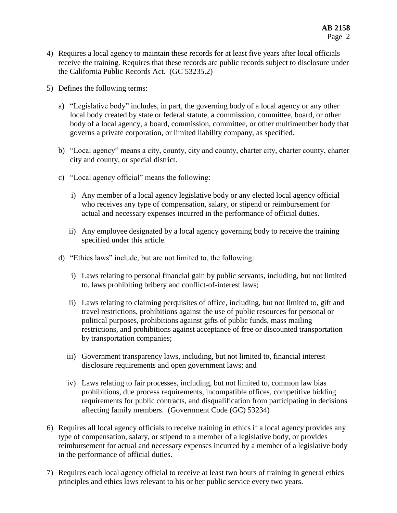- 4) Requires a local agency to maintain these records for at least five years after local officials receive the training. Requires that these records are public records subject to disclosure under the California Public Records Act. (GC 53235.2)
- 5) Defines the following terms:
	- a) "Legislative body" includes, in part, the governing body of a local agency or any other local body created by state or federal statute, a commission, committee, board, or other body of a local agency, a board, commission, committee, or other multimember body that governs a private corporation, or limited liability company, as specified.
	- b) "Local agency" means a city, county, city and county, charter city, charter county, charter city and county, or special district.
	- c) "Local agency official" means the following:
		- i) Any member of a local agency legislative body or any elected local agency official who receives any type of compensation, salary, or stipend or reimbursement for actual and necessary expenses incurred in the performance of official duties.
		- ii) Any employee designated by a local agency governing body to receive the training specified under this article.
	- d) "Ethics laws" include, but are not limited to, the following:
		- i) Laws relating to personal financial gain by public servants, including, but not limited to, laws prohibiting bribery and conflict-of-interest laws;
		- ii) Laws relating to claiming perquisites of office, including, but not limited to, gift and travel restrictions, prohibitions against the use of public resources for personal or political purposes, prohibitions against gifts of public funds, mass mailing restrictions, and prohibitions against acceptance of free or discounted transportation by transportation companies;
		- iii) Government transparency laws, including, but not limited to, financial interest disclosure requirements and open government laws; and
		- iv) Laws relating to fair processes, including, but not limited to, common law bias prohibitions, due process requirements, incompatible offices, competitive bidding requirements for public contracts, and disqualification from participating in decisions affecting family members. (Government Code (GC) 53234)
- 6) Requires all local agency officials to receive training in ethics if a local agency provides any type of compensation, salary, or stipend to a member of a legislative body, or provides reimbursement for actual and necessary expenses incurred by a member of a legislative body in the performance of official duties.
- 7) Requires each local agency official to receive at least two hours of training in general ethics principles and ethics laws relevant to his or her public service every two years.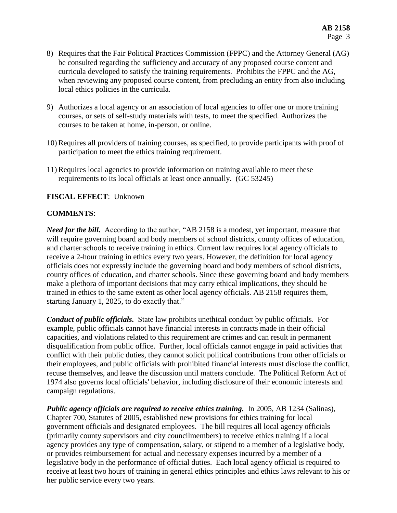- 8) Requires that the Fair Political Practices Commission (FPPC) and the Attorney General (AG) be consulted regarding the sufficiency and accuracy of any proposed course content and curricula developed to satisfy the training requirements. Prohibits the FPPC and the AG, when reviewing any proposed course content, from precluding an entity from also including local ethics policies in the curricula.
- 9) Authorizes a local agency or an association of local agencies to offer one or more training courses, or sets of self-study materials with tests, to meet the specified. Authorizes the courses to be taken at home, in-person, or online.
- 10) Requires all providers of training courses, as specified, to provide participants with proof of participation to meet the ethics training requirement.
- 11) Requires local agencies to provide information on training available to meet these requirements to its local officials at least once annually. (GC 53245)

#### **FISCAL EFFECT**: Unknown

### **COMMENTS**:

*Need for the bill.* According to the author, "AB 2158 is a modest, yet important, measure that will require governing board and body members of school districts, county offices of education, and charter schools to receive training in ethics. Current law requires local agency officials to receive a 2-hour training in ethics every two years. However, the definition for local agency officials does not expressly include the governing board and body members of school districts, county offices of education, and charter schools. Since these governing board and body members make a plethora of important decisions that may carry ethical implications, they should be trained in ethics to the same extent as other local agency officials. AB 2158 requires them, starting January 1, 2025, to do exactly that."

*Conduct of public officials.* State law prohibits unethical conduct by public officials. For example, public officials cannot have financial interests in contracts made in their official capacities, and violations related to this requirement are crimes and can result in permanent disqualification from public office. Further, local officials cannot engage in paid activities that conflict with their public duties, they cannot solicit political contributions from other officials or their employees, and public officials with prohibited financial interests must disclose the conflict, recuse themselves, and leave the discussion until matters conclude. The Political Reform Act of 1974 also governs local officials' behavior, including disclosure of their economic interests and campaign regulations.

*Public agency officials are required to receive ethics training.* In 2005, AB 1234 (Salinas), Chapter 700, Statutes of 2005, established new provisions for ethics training for local government officials and designated employees. The bill requires all local agency officials (primarily county supervisors and city councilmembers) to receive ethics training if a local agency provides any type of compensation, salary, or stipend to a member of a legislative body, or provides reimbursement for actual and necessary expenses incurred by a member of a legislative body in the performance of official duties. Each local agency official is required to receive at least two hours of training in general ethics principles and ethics laws relevant to his or her public service every two years.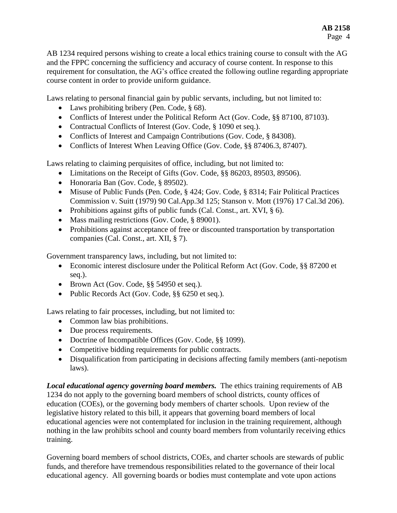AB 1234 required persons wishing to create a local ethics training course to consult with the AG and the FPPC concerning the sufficiency and accuracy of course content. In response to this requirement for consultation, the AG's office created the following outline regarding appropriate course content in order to provide uniform guidance.

Laws relating to personal financial gain by public servants, including, but not limited to:

- Laws prohibiting bribery (Pen. Code, § 68).
- Conflicts of Interest under the Political Reform Act (Gov. Code, §§ 87100, 87103).
- Contractual Conflicts of Interest (Gov. Code, § 1090 et seq.).
- Conflicts of Interest and Campaign Contributions (Gov. Code, § 84308).
- Conflicts of Interest When Leaving Office (Gov. Code, §§ 87406.3, 87407).

Laws relating to claiming perquisites of office, including, but not limited to:

- Limitations on the Receipt of Gifts (Gov. Code, §§ 86203, 89503, 89506).
- Honoraria Ban (Gov. Code, § 89502).
- Misuse of Public Funds (Pen. Code, § 424; Gov. Code, § 8314; Fair Political Practices Commission v. Suitt (1979) 90 Cal.App.3d 125; Stanson v. Mott (1976) 17 Cal.3d 206).
- Prohibitions against gifts of public funds (Cal. Const., art. XVI,  $\S$  6).
- Mass mailing restrictions (Gov. Code, § 89001).
- Prohibitions against acceptance of free or discounted transportation by transportation companies (Cal. Const., art. XII, § 7).

Government transparency laws, including, but not limited to:

- Economic interest disclosure under the Political Reform Act (Gov. Code, §§ 87200 et seq.).
- Brown Act (Gov. Code, §§ 54950 et seq.).
- Public Records Act (Gov. Code, §§ 6250 et seq.).

Laws relating to fair processes, including, but not limited to:

- Common law bias prohibitions.
- Due process requirements.
- Doctrine of Incompatible Offices (Gov. Code, §§ 1099).
- Competitive bidding requirements for public contracts.
- Disqualification from participating in decisions affecting family members (anti-nepotism laws).

*Local educational agency governing board members.* The ethics training requirements of AB 1234 do not apply to the governing board members of school districts, county offices of education (COEs), or the governing body members of charter schools. Upon review of the legislative history related to this bill, it appears that governing board members of local educational agencies were not contemplated for inclusion in the training requirement, although nothing in the law prohibits school and county board members from voluntarily receiving ethics training.

Governing board members of school districts, COEs, and charter schools are stewards of public funds, and therefore have tremendous responsibilities related to the governance of their local educational agency. All governing boards or bodies must contemplate and vote upon actions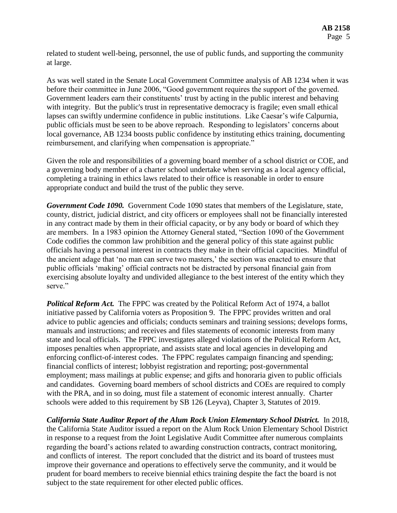related to student well-being, personnel, the use of public funds, and supporting the community at large.

As was well stated in the Senate Local Government Committee analysis of AB 1234 when it was before their committee in June 2006, "Good government requires the support of the governed. Government leaders earn their constituents' trust by acting in the public interest and behaving with integrity. But the public's trust in representative democracy is fragile; even small ethical lapses can swiftly undermine confidence in public institutions. Like Caesar's wife Calpurnia, public officials must be seen to be above reproach. Responding to legislators' concerns about local governance, AB 1234 boosts public confidence by instituting ethics training, documenting reimbursement, and clarifying when compensation is appropriate."

Given the role and responsibilities of a governing board member of a school district or COE, and a governing body member of a charter school undertake when serving as a local agency official, completing a training in ethics laws related to their office is reasonable in order to ensure appropriate conduct and build the trust of the public they serve.

*Government Code 1090.* Government Code 1090 states that members of the Legislature, state, county, district, judicial district, and city officers or employees shall not be financially interested in any contract made by them in their official capacity, or by any body or board of which they are members. In a 1983 opinion the Attorney General stated, "Section 1090 of the Government Code codifies the common law prohibition and the general policy of this state against public officials having a personal interest in contracts they make in their official capacities. Mindful of the ancient adage that 'no man can serve two masters,' the section was enacted to ensure that public officials 'making' official contracts not be distracted by personal financial gain from exercising absolute loyalty and undivided allegiance to the best interest of the entity which they serve."

*Political Reform Act.* The FPPC was created by the Political Reform Act of 1974, a ballot initiative passed by California voters as Proposition 9. The FPPC provides written and oral advice to public agencies and officials; conducts seminars and training sessions; develops forms, manuals and instructions; and receives and files statements of economic interests from many state and local officials. The FPPC investigates alleged violations of the Political Reform Act, imposes penalties when appropriate, and assists state and local agencies in developing and enforcing conflict-of-interest codes. The FPPC regulates campaign financing and spending; financial conflicts of interest; lobbyist registration and reporting; post-governmental employment; mass mailings at public expense; and gifts and honoraria given to public officials and candidates. Governing board members of school districts and COEs are required to comply with the PRA, and in so doing, must file a statement of economic interest annually. Charter schools were added to this requirement by SB 126 (Leyva), Chapter 3, Statutes of 2019.

*California State Auditor Report of the Alum Rock Union Elementary School District.* In 2018, the California State Auditor issued a report on the Alum Rock Union Elementary School District in response to a request from the Joint Legislative Audit Committee after numerous complaints regarding the board's actions related to awarding construction contracts, contract monitoring, and conflicts of interest. The report concluded that the district and its board of trustees must improve their governance and operations to effectively serve the community, and it would be prudent for board members to receive biennial ethics training despite the fact the board is not subject to the state requirement for other elected public offices.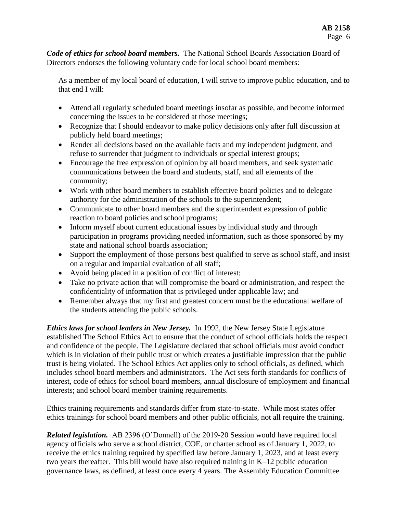*Code of ethics for school board members.* The National School Boards Association Board of Directors endorses the following voluntary code for local school board members:

As a member of my local board of education, I will strive to improve public education, and to that end I will:

- Attend all regularly scheduled board meetings insofar as possible, and become informed concerning the issues to be considered at those meetings;
- Recognize that I should endeavor to make policy decisions only after full discussion at publicly held board meetings;
- Render all decisions based on the available facts and my independent judgment, and refuse to surrender that judgment to individuals or special interest groups;
- Encourage the free expression of opinion by all board members, and seek systematic communications between the board and students, staff, and all elements of the community;
- Work with other board members to establish effective board policies and to delegate authority for the administration of the schools to the superintendent;
- Communicate to other board members and the superintendent expression of public reaction to board policies and school programs;
- Inform myself about current educational issues by individual study and through participation in programs providing needed information, such as those sponsored by my state and national school boards association;
- Support the employment of those persons best qualified to serve as school staff, and insist on a regular and impartial evaluation of all staff;
- Avoid being placed in a position of conflict of interest;
- Take no private action that will compromise the board or administration, and respect the confidentiality of information that is privileged under applicable law; and
- Remember always that my first and greatest concern must be the educational welfare of the students attending the public schools.

*Ethics laws for school leaders in New Jersey.* In 1992, the New Jersey State Legislature established The School Ethics Act to ensure that the conduct of school officials holds the respect and confidence of the people. The Legislature declared that school officials must avoid conduct which is in violation of their public trust or which creates a justifiable impression that the public trust is being violated. The School Ethics Act applies only to school officials, as defined, which includes school board members and administrators. The Act sets forth standards for conflicts of interest, code of ethics for school board members, annual disclosure of employment and financial interests; and school board member training requirements.

Ethics training requirements and standards differ from state-to-state. While most states offer ethics trainings for school board members and other public officials, not all require the training.

*Related legislation.* AB 2396 (O'Donnell) of the 2019-20 Session would have required local agency officials who serve a school district, COE, or charter school as of January 1, 2022, to receive the ethics training required by specified law before January 1, 2023, and at least every two years thereafter. This bill would have also required training in K–12 public education governance laws, as defined, at least once every 4 years. The Assembly Education Committee